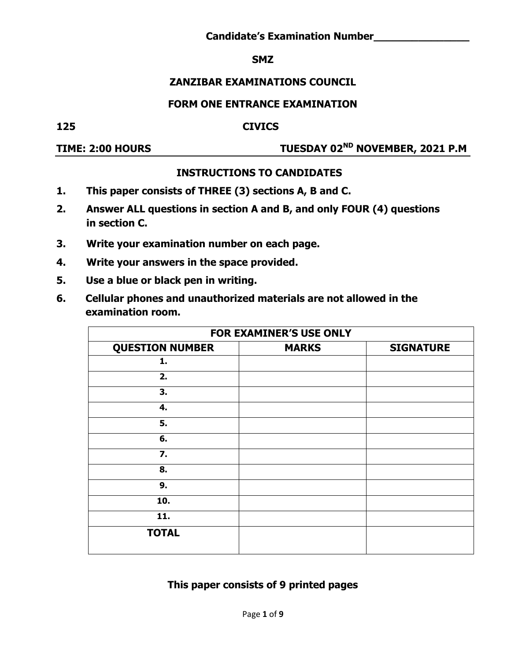#### **SMZ**

# **ZANZIBAR EXAMINATIONS COUNCIL**

#### **FORM ONE ENTRANCE EXAMINATION**

#### **125 CIVICS**

# **TIME: 2:00 HOURS TUESDAY 02ND NOVEMBER, 2021 P.M**

# **INSTRUCTIONS TO CANDIDATES**

- **1. This paper consists of THREE (3) sections A, B and C.**
- **2. Answer ALL questions in section A and B, and only FOUR (4) questions in section C.**
- **3. Write your examination number on each page.**
- **4. Write your answers in the space provided.**
- **5. Use a blue or black pen in writing.**
- **6. Cellular phones and unauthorized materials are not allowed in the examination room.**

|                        | <b>FOR EXAMINER'S USE ONLY</b> |                  |
|------------------------|--------------------------------|------------------|
| <b>QUESTION NUMBER</b> | <b>MARKS</b>                   | <b>SIGNATURE</b> |
| 1.                     |                                |                  |
| 2.                     |                                |                  |
| 3.                     |                                |                  |
| 4.                     |                                |                  |
| 5.                     |                                |                  |
| 6.                     |                                |                  |
| 7.                     |                                |                  |
| 8.                     |                                |                  |
| 9.                     |                                |                  |
| 10.                    |                                |                  |
| 11.                    |                                |                  |
| <b>TOTAL</b>           |                                |                  |

# **This paper consists of 9 printed pages**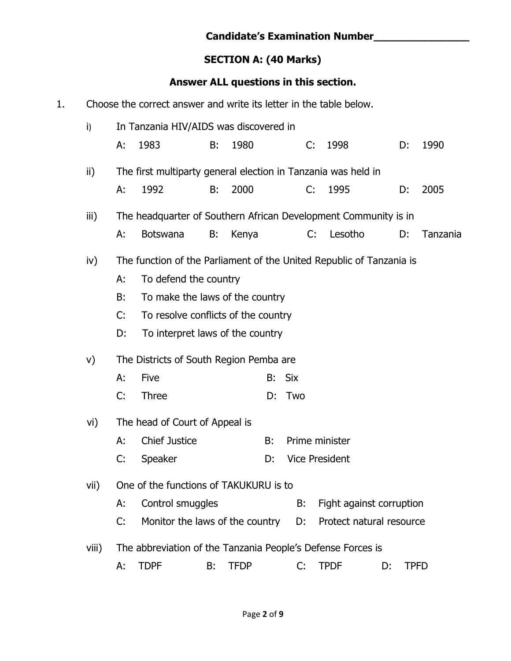|    |       |    |                                                                      |    | <b>SECTION A: (40 Marks)</b> |    |            |                                       |    |    |             |
|----|-------|----|----------------------------------------------------------------------|----|------------------------------|----|------------|---------------------------------------|----|----|-------------|
|    |       |    |                                                                      |    |                              |    |            | Answer ALL questions in this section. |    |    |             |
| 1. |       |    | Choose the correct answer and write its letter in the table below.   |    |                              |    |            |                                       |    |    |             |
|    | i)    |    | In Tanzania HIV/AIDS was discovered in                               |    |                              |    |            |                                       |    |    |             |
|    |       | A: | 1983                                                                 | B: | 1980                         |    | C:         | 1998                                  |    | D: | 1990        |
|    | ii)   |    | The first multiparty general election in Tanzania was held in        |    |                              |    |            |                                       |    |    |             |
|    |       | А: | 1992                                                                 | B: | 2000                         |    | C:         | 1995                                  |    | D: | 2005        |
|    | iii)  |    | The headquarter of Southern African Development Community is in      |    |                              |    |            |                                       |    |    |             |
|    |       | А: | <b>Botswana</b>                                                      | B: | Kenya                        |    |            | Lesotho<br>C:                         |    | D: | Tanzania    |
|    | iv)   |    | The function of the Parliament of the United Republic of Tanzania is |    |                              |    |            |                                       |    |    |             |
|    |       | А: | To defend the country                                                |    |                              |    |            |                                       |    |    |             |
|    |       | B: | To make the laws of the country                                      |    |                              |    |            |                                       |    |    |             |
|    |       | C: | To resolve conflicts of the country                                  |    |                              |    |            |                                       |    |    |             |
|    |       | D: | To interpret laws of the country                                     |    |                              |    |            |                                       |    |    |             |
|    | V)    |    | The Districts of South Region Pemba are                              |    |                              |    |            |                                       |    |    |             |
|    |       | А: | Five                                                                 |    |                              | B: | <b>Six</b> |                                       |    |    |             |
|    |       | C: | <b>Three</b>                                                         |    |                              | D: | Two        |                                       |    |    |             |
|    | vi)   |    | The head of Court of Appeal is                                       |    |                              |    |            |                                       |    |    |             |
|    |       | А: | <b>Chief Justice</b>                                                 |    |                              | B: |            | Prime minister                        |    |    |             |
|    |       | C: | Speaker                                                              |    |                              | D: |            | <b>Vice President</b>                 |    |    |             |
|    | vii)  |    | One of the functions of TAKUKURU is to                               |    |                              |    |            |                                       |    |    |             |
|    |       | А: | Control smuggles                                                     |    |                              |    | B:         | Fight against corruption              |    |    |             |
|    |       | C: | Monitor the laws of the country                                      |    |                              |    | D:         | Protect natural resource              |    |    |             |
|    | viii) |    | The abbreviation of the Tanzania People's Defense Forces is          |    |                              |    |            |                                       |    |    |             |
|    |       | А: | <b>TDPF</b>                                                          | В: | <b>TFDP</b>                  |    | C:         | <b>TPDF</b>                           | D: |    | <b>TPFD</b> |

**Candidate's Examination Number\_\_\_\_\_\_\_\_\_\_\_\_\_\_\_**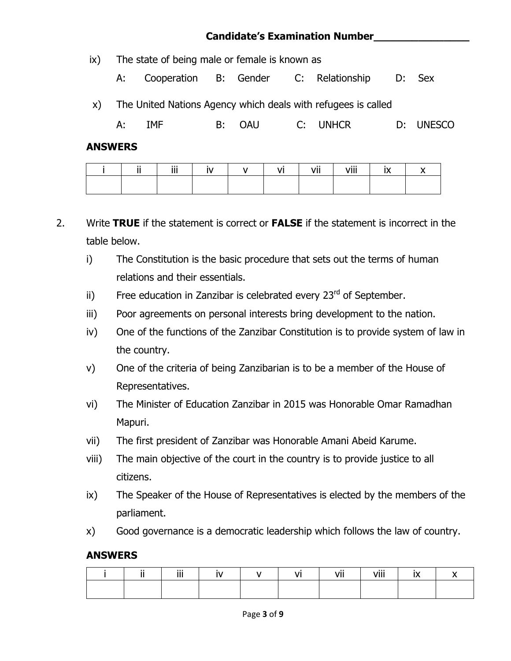# **Candidate's Examination Number\_\_\_\_\_\_\_\_\_\_\_\_\_\_\_**

- ix) The state of being male or female is known as
	- A: Cooperation B: Gender C: Relationship D: Sex
- x) The United Nations Agency which deals with refugees is called

A: IMF B: OAU C: UNHCR D: UNESCO

#### **ANSWERS**

| <b>11</b> | - iii | . .<br>$\mathbf{N}$ | $\mathbf{V}$ | $\overline{\mathsf{v}}$ is the set of $\overline{\mathsf{v}}$ | vii | viii | $\ddot{\phantom{1}}$ |
|-----------|-------|---------------------|--------------|---------------------------------------------------------------|-----|------|----------------------|
|           |       |                     |              |                                                               |     |      |                      |

- 2. Write **TRUE** if the statement is correct or **FALSE** if the statement is incorrect in the table below.
	- i) The Constitution is the basic procedure that sets out the terms of human relations and their essentials.
	- ii) Free education in Zanzibar is celebrated every  $23<sup>rd</sup>$  of September.
	- iii) Poor agreements on personal interests bring development to the nation.
	- iv) One of the functions of the Zanzibar Constitution is to provide system of law in the country.
	- v) One of the criteria of being Zanzibarian is to be a member of the House of Representatives.
	- vi) The Minister of Education Zanzibar in 2015 was Honorable Omar Ramadhan Mapuri.
	- vii) The first president of Zanzibar was Honorable Amani Abeid Karume.
	- viii) The main objective of the court in the country is to provide justice to all citizens.
	- ix) The Speaker of the House of Representatives is elected by the members of the parliament.
	- x) Good governance is a democratic leadership which follows the law of country.

#### **ANSWERS**

|  | -111<br> |  | . | vii<br>- - - | viii<br>VIII | $ -$ |  |
|--|----------|--|---|--------------|--------------|------|--|
|  |          |  |   |              |              |      |  |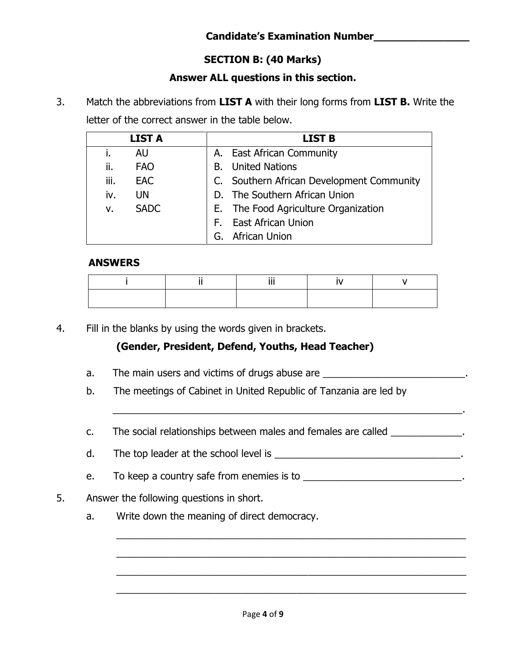# **Candidate's Examination Number\_\_\_\_\_\_\_\_\_\_\_\_\_\_\_**

# **SECTION B: (40 Marks)**

# **Answer ALL questions in this section.**

3. Match the abbreviations from **LIST A** with their long forms from **LIST B.** Write the letter of the correct answer in the table below.

|      | <b>LIST A</b> | <b>LIST B</b>                             |
|------|---------------|-------------------------------------------|
|      | <b>AU</b>     | A. East African Community                 |
| ii.  | <b>FAO</b>    | <b>B.</b> United Nations                  |
| iii. | <b>EAC</b>    | C. Southern African Development Community |
| iv.  | UN            | D. The Southern African Union             |
| v.   | <b>SADC</b>   | E. The Food Agriculture Organization      |
|      |               | F. East African Union                     |
|      |               | G. African Union                          |

#### **ANSWERS**

4. Fill in the blanks by using the words given in brackets.

# **(Gender, President, Defend, Youths, Head Teacher)**

- a. The main users and victims of drugs abuse are **The main users and victims** of drugs abuse are
- b. The meetings of Cabinet in United Republic of Tanzania are led by
- c. The social relationships between males and females are called  $\blacksquare$

 $\overline{\phantom{a}}$  ,  $\overline{\phantom{a}}$  ,  $\overline{\phantom{a}}$  ,  $\overline{\phantom{a}}$  ,  $\overline{\phantom{a}}$  ,  $\overline{\phantom{a}}$  ,  $\overline{\phantom{a}}$  ,  $\overline{\phantom{a}}$  ,  $\overline{\phantom{a}}$  ,  $\overline{\phantom{a}}$  ,  $\overline{\phantom{a}}$  ,  $\overline{\phantom{a}}$  ,  $\overline{\phantom{a}}$  ,  $\overline{\phantom{a}}$  ,  $\overline{\phantom{a}}$  ,  $\overline{\phantom{a}}$ 

d. The top leader at the school level is \_\_\_\_\_\_\_\_\_\_\_\_\_\_\_\_\_\_\_\_\_\_\_\_\_\_\_\_\_\_\_\_\_\_.

\_\_\_\_\_\_\_\_\_\_\_\_\_\_\_\_\_\_\_\_\_\_\_\_\_\_\_\_\_\_\_\_\_\_\_\_\_\_\_\_\_\_\_\_\_\_\_\_\_\_\_\_\_\_\_\_\_\_\_\_\_\_\_\_

\_\_\_\_\_\_\_\_\_\_\_\_\_\_\_\_\_\_\_\_\_\_\_\_\_\_\_\_\_\_\_\_\_\_\_\_\_\_\_\_\_\_\_\_\_\_\_\_\_\_\_\_\_\_\_\_\_\_\_\_\_\_\_\_

\_\_\_\_\_\_\_\_\_\_\_\_\_\_\_\_\_\_\_\_\_\_\_\_\_\_\_\_\_\_\_\_\_\_\_\_\_\_\_\_\_\_\_\_\_\_\_\_\_\_\_\_\_\_\_\_\_\_\_\_\_\_\_\_

\_\_\_\_\_\_\_\_\_\_\_\_\_\_\_\_\_\_\_\_\_\_\_\_\_\_\_\_\_\_\_\_\_\_\_\_\_\_\_\_\_\_\_\_\_\_\_\_\_\_\_\_\_\_\_\_\_\_\_\_\_\_\_\_

- e. To keep a country safe from enemies is to \_\_\_\_\_\_\_\_\_\_\_\_\_\_\_\_\_\_\_\_\_\_\_\_\_\_\_\_\_\_\_.
- 5. Answer the following questions in short.
	- a. Write down the meaning of direct democracy.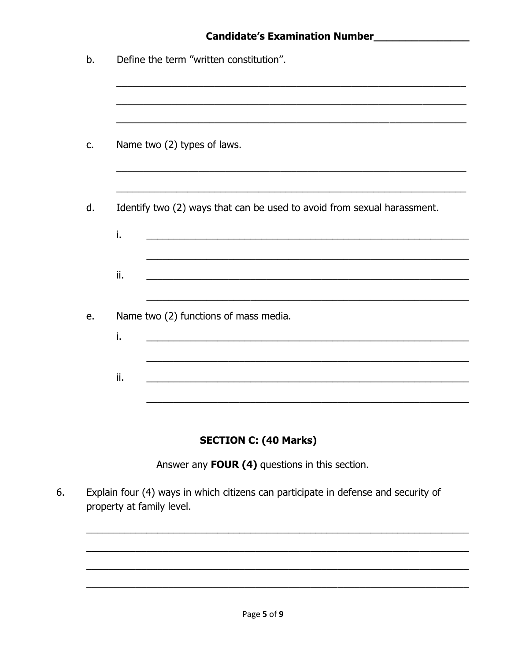|     | Define the term "written constitution".                                 |
|-----|-------------------------------------------------------------------------|
|     | Name two (2) types of laws.                                             |
|     | Identify two (2) ways that can be used to avoid from sexual harassment. |
| i.  |                                                                         |
|     |                                                                         |
| ii. |                                                                         |
| i.  | Name two (2) functions of mass media.                                   |

# **SECTION C: (40 Marks)**

Answer any FOUR (4) questions in this section.

6. Explain four (4) ways in which citizens can participate in defense and security of property at family level.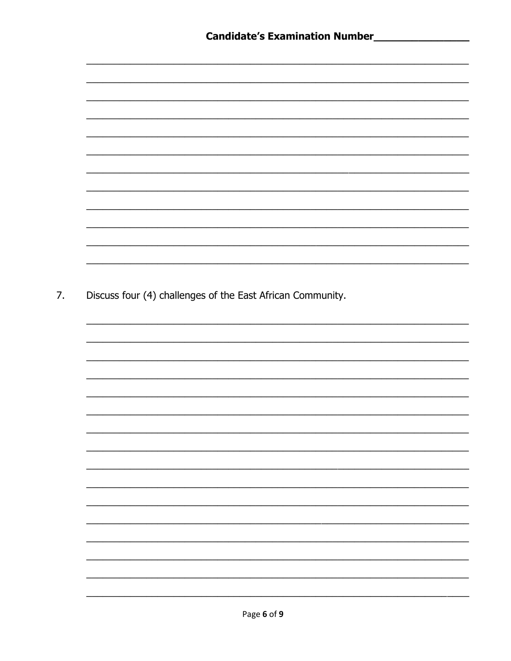| Discuss four (4) challenges of the East African Community. |
|------------------------------------------------------------|
|                                                            |
|                                                            |
|                                                            |
|                                                            |
|                                                            |
|                                                            |
|                                                            |
|                                                            |
|                                                            |
|                                                            |
|                                                            |
|                                                            |
|                                                            |
|                                                            |
|                                                            |
|                                                            |
|                                                            |
|                                                            |
|                                                            |
|                                                            |
|                                                            |
|                                                            |

7.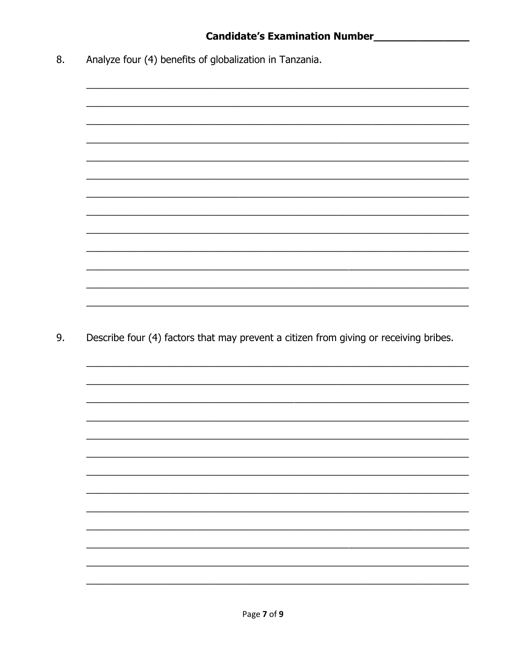Analyze four (4) benefits of globalization in Tanzania. 8.

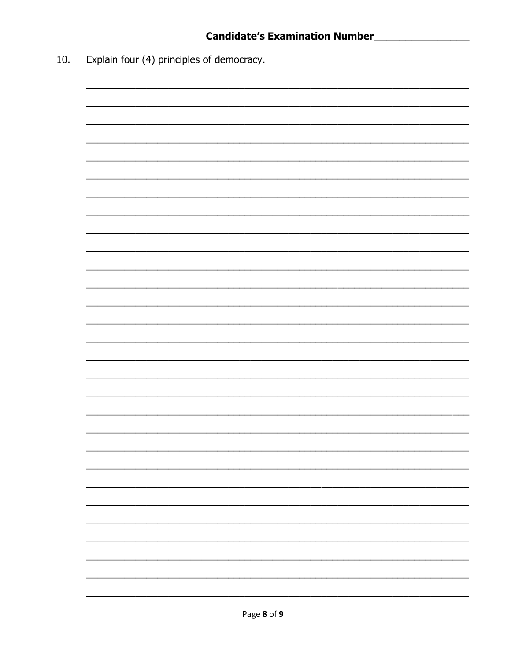Explain four (4) principles of democracy.  $10.$